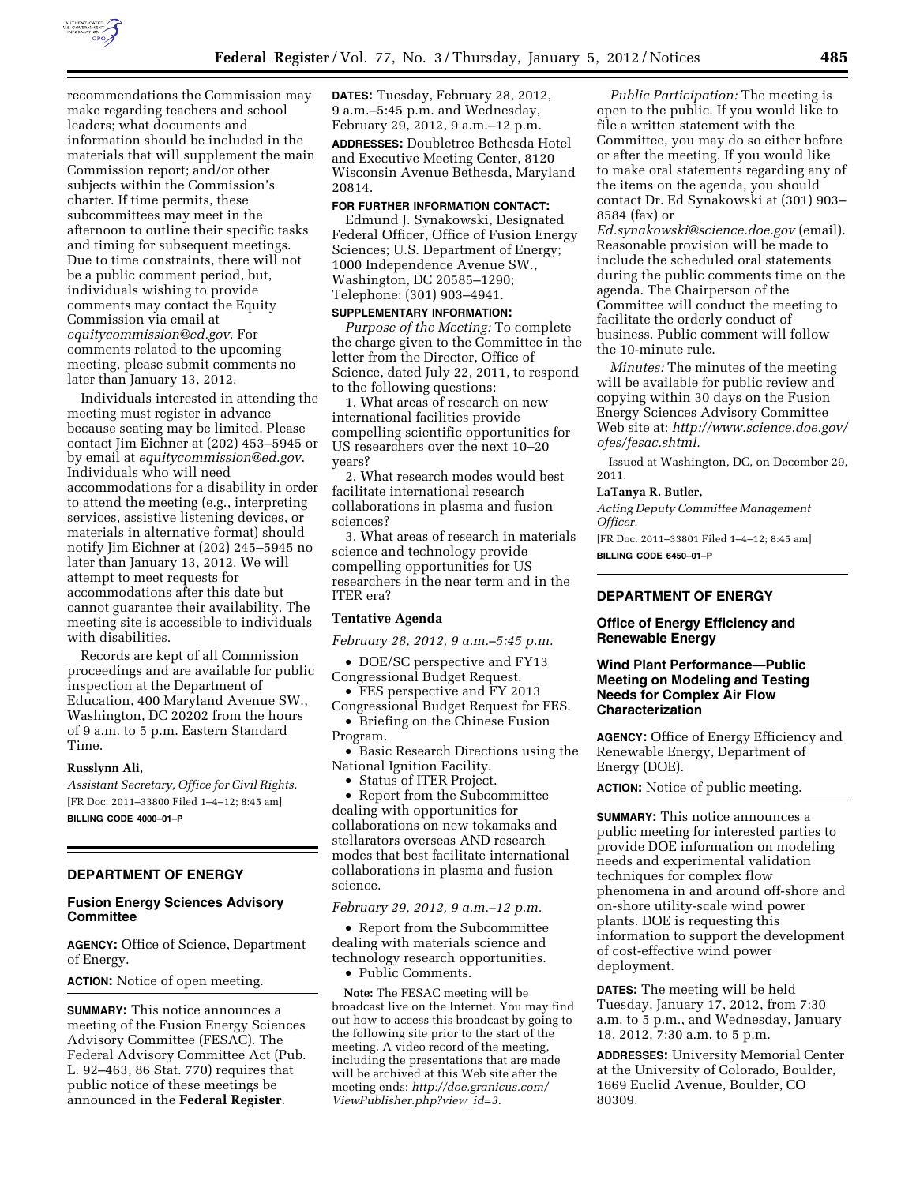

recommendations the Commission may make regarding teachers and school leaders; what documents and information should be included in the materials that will supplement the main Commission report; and/or other subjects within the Commission's charter. If time permits, these subcommittees may meet in the afternoon to outline their specific tasks and timing for subsequent meetings. Due to time constraints, there will not be a public comment period, but, individuals wishing to provide comments may contact the Equity Commission via email at *[equitycommission@ed.gov](mailto:equitycommission@ed.gov)*. For comments related to the upcoming meeting, please submit comments no later than January 13, 2012.

Individuals interested in attending the meeting must register in advance because seating may be limited. Please contact Jim Eichner at (202) 453–5945 or by email at *[equitycommission@ed.gov](mailto:equitycommission@ed.gov)*. Individuals who will need accommodations for a disability in order to attend the meeting (e.g., interpreting services, assistive listening devices, or materials in alternative format) should notify Jim Eichner at (202) 245–5945 no later than January 13, 2012. We will attempt to meet requests for accommodations after this date but cannot guarantee their availability. The meeting site is accessible to individuals with disabilities.

Records are kept of all Commission proceedings and are available for public inspection at the Department of Education, 400 Maryland Avenue SW., Washington, DC 20202 from the hours of 9 a.m. to 5 p.m. Eastern Standard Time.

#### **Russlynn Ali,**

*Assistant Secretary, Office for Civil Rights.*  [FR Doc. 2011–33800 Filed 1–4–12; 8:45 am] **BILLING CODE 4000–01–P** 

#### **DEPARTMENT OF ENERGY**

#### **Fusion Energy Sciences Advisory Committee**

**AGENCY:** Office of Science, Department of Energy.

**ACTION:** Notice of open meeting.

**SUMMARY:** This notice announces a meeting of the Fusion Energy Sciences Advisory Committee (FESAC). The Federal Advisory Committee Act (Pub. L. 92–463, 86 Stat. 770) requires that public notice of these meetings be announced in the **Federal Register**.

**DATES:** Tuesday, February 28, 2012, 9 a.m.–5:45 p.m. and Wednesday, February 29, 2012, 9 a.m.–12 p.m.

**ADDRESSES:** Doubletree Bethesda Hotel and Executive Meeting Center, 8120 Wisconsin Avenue Bethesda, Maryland 20814.

### **FOR FURTHER INFORMATION CONTACT:**

Edmund J. Synakowski, Designated Federal Officer, Office of Fusion Energy Sciences; U.S. Department of Energy; 1000 Independence Avenue SW., Washington, DC 20585–1290; Telephone: (301) 903–4941.

## **SUPPLEMENTARY INFORMATION:**

*Purpose of the Meeting:* To complete the charge given to the Committee in the letter from the Director, Office of Science, dated July 22, 2011, to respond to the following questions:

1. What areas of research on new international facilities provide compelling scientific opportunities for US researchers over the next 10–20 years?

2. What research modes would best facilitate international research collaborations in plasma and fusion sciences?

3. What areas of research in materials science and technology provide compelling opportunities for US researchers in the near term and in the ITER era?

#### **Tentative Agenda**

*February 28, 2012, 9 a.m.–5:45 p.m.* 

• DOE/SC perspective and FY13 Congressional Budget Request.

• FES perspective and FY 2013 Congressional Budget Request for FES.

• Briefing on the Chinese Fusion Program.

• Basic Research Directions using the National Ignition Facility.

• Status of ITER Project.

• Report from the Subcommittee dealing with opportunities for collaborations on new tokamaks and stellarators overseas AND research modes that best facilitate international collaborations in plasma and fusion science.

#### *February 29, 2012, 9 a.m.–12 p.m.*

• Report from the Subcommittee dealing with materials science and technology research opportunities.

• Public Comments.

**Note:** The FESAC meeting will be broadcast live on the Internet. You may find out how to access this broadcast by going to the following site prior to the start of the meeting. A video record of the meeting, including the presentations that are made will be archived at this Web site after the meeting ends: *[http://doe.granicus.com/](http://doe.granicus.com/ViewPublisher.php?view_id=3)  [ViewPublisher.php?view](http://doe.granicus.com/ViewPublisher.php?view_id=3)*\_*id=3*.

*Public Participation:* The meeting is open to the public. If you would like to file a written statement with the Committee, you may do so either before or after the meeting. If you would like to make oral statements regarding any of the items on the agenda, you should contact Dr. Ed Synakowski at (301) 903– 8584 (fax) or

*[Ed.synakowski@science.doe.gov](mailto:Ed.synakowski@science.doe.gov)* (email). Reasonable provision will be made to include the scheduled oral statements during the public comments time on the agenda. The Chairperson of the Committee will conduct the meeting to facilitate the orderly conduct of business. Public comment will follow the 10-minute rule.

*Minutes:* The minutes of the meeting will be available for public review and copying within 30 days on the Fusion Energy Sciences Advisory Committee Web site at: *[http://www.science.doe.gov/](http://www.science.doe.gov/ofes/fesac.shtml)  [ofes/fesac.shtml.](http://www.science.doe.gov/ofes/fesac.shtml)* 

Issued at Washington, DC, on December 29, 2011.

#### **LaTanya R. Butler,**

*Acting Deputy Committee Management Officer.* 

[FR Doc. 2011–33801 Filed 1–4–12; 8:45 am] **BILLING CODE 6450–01–P** 

# **DEPARTMENT OF ENERGY**

## **Office of Energy Efficiency and Renewable Energy**

## **Wind Plant Performance—Public Meeting on Modeling and Testing Needs for Complex Air Flow Characterization**

**AGENCY:** Office of Energy Efficiency and Renewable Energy, Department of Energy (DOE).

**ACTION:** Notice of public meeting.

**SUMMARY:** This notice announces a public meeting for interested parties to provide DOE information on modeling needs and experimental validation techniques for complex flow phenomena in and around off-shore and on-shore utility-scale wind power plants. DOE is requesting this information to support the development of cost-effective wind power deployment.

**DATES:** The meeting will be held Tuesday, January 17, 2012, from 7:30 a.m. to 5 p.m., and Wednesday, January 18, 2012, 7:30 a.m. to 5 p.m.

**ADDRESSES:** University Memorial Center at the University of Colorado, Boulder, 1669 Euclid Avenue, Boulder, CO 80309.